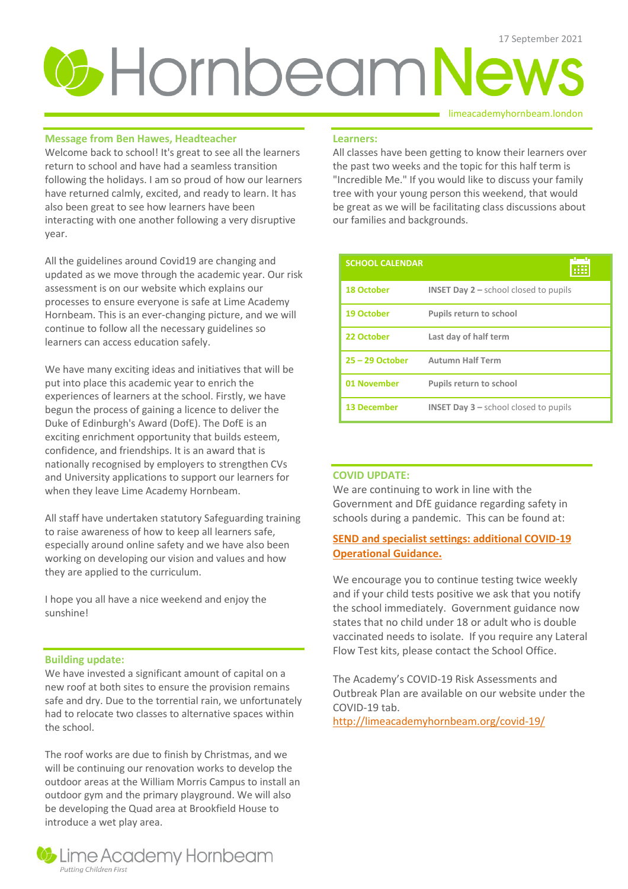# **3 Hornbeam News**

# **Message from Ben Hawes, Headteacher**

Welcome back to school! It's great to see all the learners return to school and have had a seamless transition following the holidays. I am so proud of how our learners have returned calmly, excited, and ready to learn. It has also been great to see how learners have been interacting with one another following a very disruptive year.

All the guidelines around Covid19 are changing and updated as we move through the academic year. Our risk assessment is on our website which explains our processes to ensure everyone is safe at Lime Academy Hornbeam. This is an ever-changing picture, and we will continue to follow all the necessary guidelines so learners can access education safely.

We have many exciting ideas and initiatives that will be put into place this academic year to enrich the experiences of learners at the school. Firstly, we have begun the process of gaining a licence to deliver the Duke of Edinburgh's Award (DofE). The DofE is an exciting enrichment opportunity that builds esteem, confidence, and friendships. It is an award that is nationally recognised by employers to strengthen CVs and University applications to support our learners for when they leave Lime Academy Hornbeam.

All staff have undertaken statutory Safeguarding training to raise awareness of how to keep all learners safe, especially around online safety and we have also been working on developing our vision and values and how they are applied to the curriculum.

I hope you all have a nice weekend and enjoy the sunshine!

# **Building update:**

We have invested a significant amount of capital on a new roof at both sites to ensure the provision remains safe and dry. Due to the torrential rain, we unfortunately had to relocate two classes to alternative spaces within the school.

The roof works are due to finish by Christmas, and we will be continuing our renovation works to develop the outdoor areas at the William Morris Campus to install an outdoor gym and the primary playground. We will also be developing the Quad area at Brookfield House to introduce a wet play area.



### limeacademyhornbeam.london

### **Learners:**

All classes have been getting to know their learners over the past two weeks and the topic for this half term is "Incredible Me." If you would like to discuss your family tree with your young person this weekend, that would be great as we will be facilitating class discussions about our families and backgrounds.

| <b>SCHOOL CALENDAR</b> |                                                           |
|------------------------|-----------------------------------------------------------|
| <b>18 October</b>      | <b>INSET Day <math>2</math> – school closed to pupils</b> |
| <b>19 October</b>      | <b>Pupils return to school</b>                            |
| 22 October             | Last day of half term                                     |
| $25 - 29$ October      | <b>Autumn Half Term</b>                                   |
| 01 November            | <b>Pupils return to school</b>                            |
| <b>13 December</b>     | <b>INSET Day <math>3</math> – school closed to pupils</b> |

# **COVID UPDATE:**

We are continuing to work in line with the Government and DfE guidance regarding safety in schools during a pandemic. This can be found at:

# **[SEND and specialist settings: additional COVID-19](https://www.gov.uk/government/publications/guidance-for-full-opening-special-schools-and-other-specialist-settings/send-and-specialist-settings-additional-covid-19-operational-guidance-applies-after-step-4)  [Operational Guidance](https://www.gov.uk/government/publications/guidance-for-full-opening-special-schools-and-other-specialist-settings/send-and-specialist-settings-additional-covid-19-operational-guidance-applies-after-step-4).**

We encourage you to continue testing twice weekly and if your child tests positive we ask that you notify the school immediately. Government guidance now states that no child under 18 or adult who is double vaccinated needs to isolate. If you require any Lateral Flow Test kits, please contact the School Office.

The Academy's COVID-19 Risk Assessments and Outbreak Plan are available on our website under the COVID-19 tab.

<http://limeacademyhornbeam.org/covid-19/>